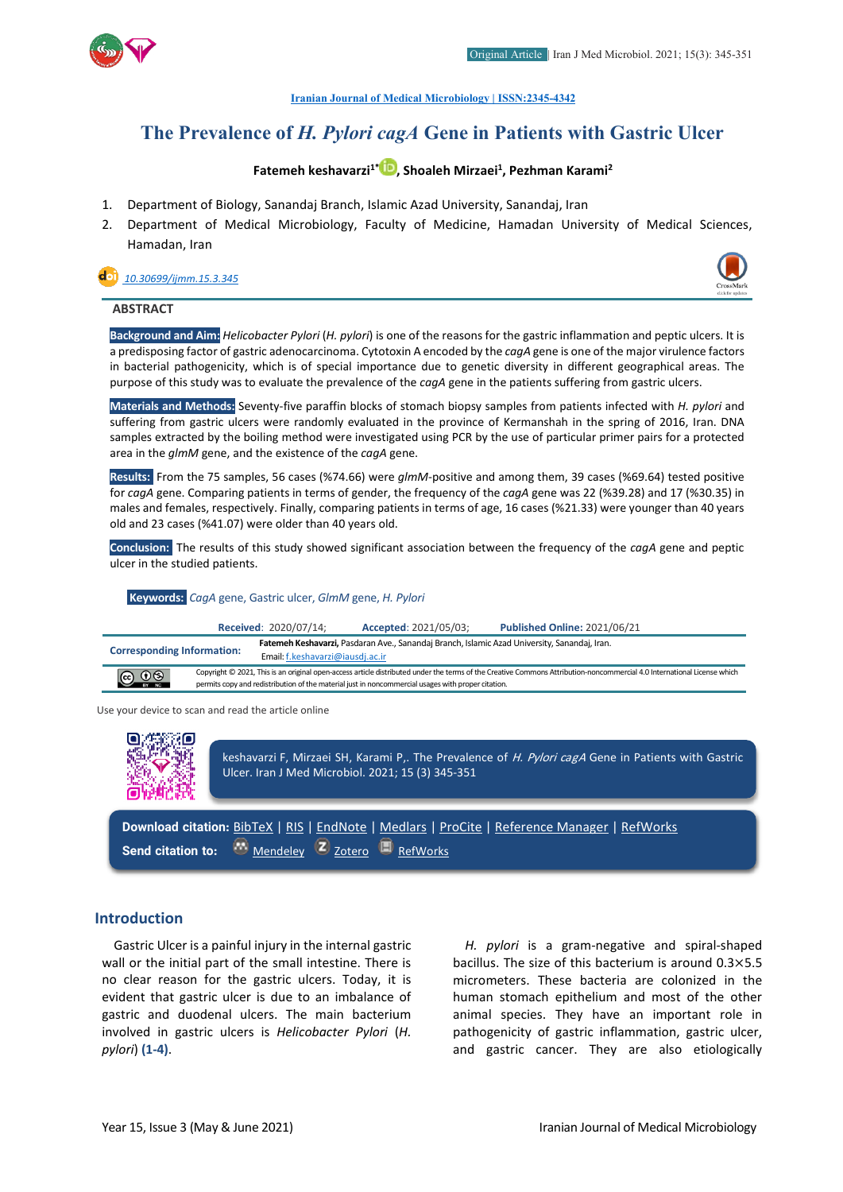

**[Iranian Journal of Medical Microbiology |](https://ijmm.ir/) ISSN:2345-4342**

# **The Prevalence of** *H. Pylori cagA* **Gene in Patients with Gastric Ulcer**

# **Fatemeh keshavarzi1[\\*](http://orcid.org/000000021131107X) , Shoaleh Mirzaei1 , Pezhman Karami2**

- 1. Department of Biology, Sanandaj Branch, Islamic Azad University, Sanandaj, Iran
- 2. Department of Medical Microbiology, Faculty of Medicine, Hamadan University of Medical Sciences, Hamadan, Iran

 *[10.30699/ijmm.15.3.345](http://dx.doi.org/10.30699/ijmm.15.3.345)*



## **ABSTRACT**

**Background and Aim:** *Helicobacter Pylori* (*H. pylori*) is one of the reasons for the gastric inflammation and peptic ulcers. It is a predisposing factor of gastric adenocarcinoma. Cytotoxin A encoded by the *cagA* gene is one of the major virulence factors in bacterial pathogenicity, which is of special importance due to genetic diversity in different geographical areas. The purpose of this study was to evaluate the prevalence of the *cagA* gene in the patients suffering from gastric ulcers.

**Materials and Methods:** Seventy-five paraffin blocks of stomach biopsy samples from patients infected with *H. pylori* and suffering from gastric ulcers were randomly evaluated in the province of Kermanshah in the spring of 2016, Iran. DNA samples extracted by the boiling method were investigated using PCR by the use of particular primer pairs for a protected area in the *glmM* gene, and the existence of the *cagA* gene.

**Results:** From the 75 samples, 56 cases (%74.66) were *glmM*-positive and among them, 39 cases (%69.64) tested positive for *cagA* gene. Comparing patients in terms of gender, the frequency of the *cagA* gene was 22 (%39.28) and 17 (%30.35) in males and females, respectively. Finally, comparing patients in terms of age, 16 cases (%21.33) were younger than 40 years old and 23 cases (%41.07) were older than 40 years old.

**Conclusion:** The results of this study showed significant association between the frequency of the *cagA* gene and peptic ulcer in the studied patients.

#### **Keywords:** *CagA* gene, Gastric ulcer, *GlmM* gene, *H. Pylori*

|                                                                       |                                                                                                                                                                                                                                                                               | Received: 2020/07/14: | Accepted: 2021/05/03;                                                                        | <b>Published Online: 2021/06/21</b> |
|-----------------------------------------------------------------------|-------------------------------------------------------------------------------------------------------------------------------------------------------------------------------------------------------------------------------------------------------------------------------|-----------------------|----------------------------------------------------------------------------------------------|-------------------------------------|
| <b>Corresponding Information:</b><br>Email: f.keshavarzi@iausdj.ac.ir |                                                                                                                                                                                                                                                                               |                       | Fatemeh Keshavarzi, Pasdaran Ave., Sanandaj Branch, Islamic Azad University, Sanandaj, Iran. |                                     |
| $\bigodot$ $\bigodot$ $\bigodot$                                      | Copyright © 2021, This is an original open-access article distributed under the terms of the Creative Commons Attribution-noncommercial 4.0 International License which<br>permits copy and redistribution of the material just in noncommercial usages with proper citation. |                       |                                                                                              |                                     |

Use your device to scan and read the article online



keshavarzi F, Mirzaei SH, Karami P,. The Prevalence of H. Pylori cagA Gene in Patients with Gastric Ulcer. Iran J Med Microbiol. 2021; 15 (3) 345-351

**Download citation:** [BibTeX](https://ijmm.ir/web2export.php?a_code=A-10-1349-1&sid=1&slc_lang=en&type=BibTeX) | [RIS](https://ijmm.ir/web2export.php?a_code=A-10-1349-1&sid=1&slc_lang=en&type=ris) | [EndNote](https://ijmm.ir/web2export.php?a_code=A-10-1349-1&sid=1&slc_lang=en&type=EndNote) | [Medlars](https://ijmm.ir/web2export.php?a_code=A-10-1349-1&sid=1&slc_lang=en&type=Medlars) | [ProCite](https://ijmm.ir/web2export.php?a_code=A-10-1349-1&sid=1&slc_lang=en&type=ProCite) | [Reference Manager](https://ijmm.ir/web2export.php?a_code=A-10-1349-1&sid=1&slc_lang=en&type=Reference_Manager) | [RefWorks](https://ijmm.ir/web2export.php?a_code=A-10-1349-1&sid=1&slc_lang=en&type=RefWorks) **Send citation to:**  $\bullet$  [Mendeley](http://www.mendeley.com/import/?url=https://ijmm.ir/article-1-1081-en.html) **Z** [Zotero](https://ijmm.ir/web2export.php?a_code=A-10-1349-1&sid=1&slc_lang=en&type=ris) **E** [RefWorks](http://www.refworks.com/express/ExpressImport.asp?vendor=Iran-J-Med-Microbiol&filter=RefWorks%20Tagged%20Format&encoding=65001&url=http%3A%2F%2Fijmm.ir%2Farticle-1-1081-en.html)

### **Introduction**

Gastric Ulcer is a painful injury in the internal gastric wall or the initial part of the small intestine. There is no clear reason for the gastric ulcers. Today, it is evident that gastric ulcer is due to an imbalance of gastric and duodenal ulcers. The main bacterium involved in gastric ulcers is *Helicobacter Pylori* (*H. pylori*) **(1-4)**.

*H. pylori* is a gram-negative and spiral-shaped bacillus. The size of this bacterium is around 0.3×5.5 micrometers. These bacteria are colonized in the human stomach epithelium and most of the other animal species. They have an important role in pathogenicity of gastric inflammation, gastric ulcer, and gastric cancer. They are also etiologically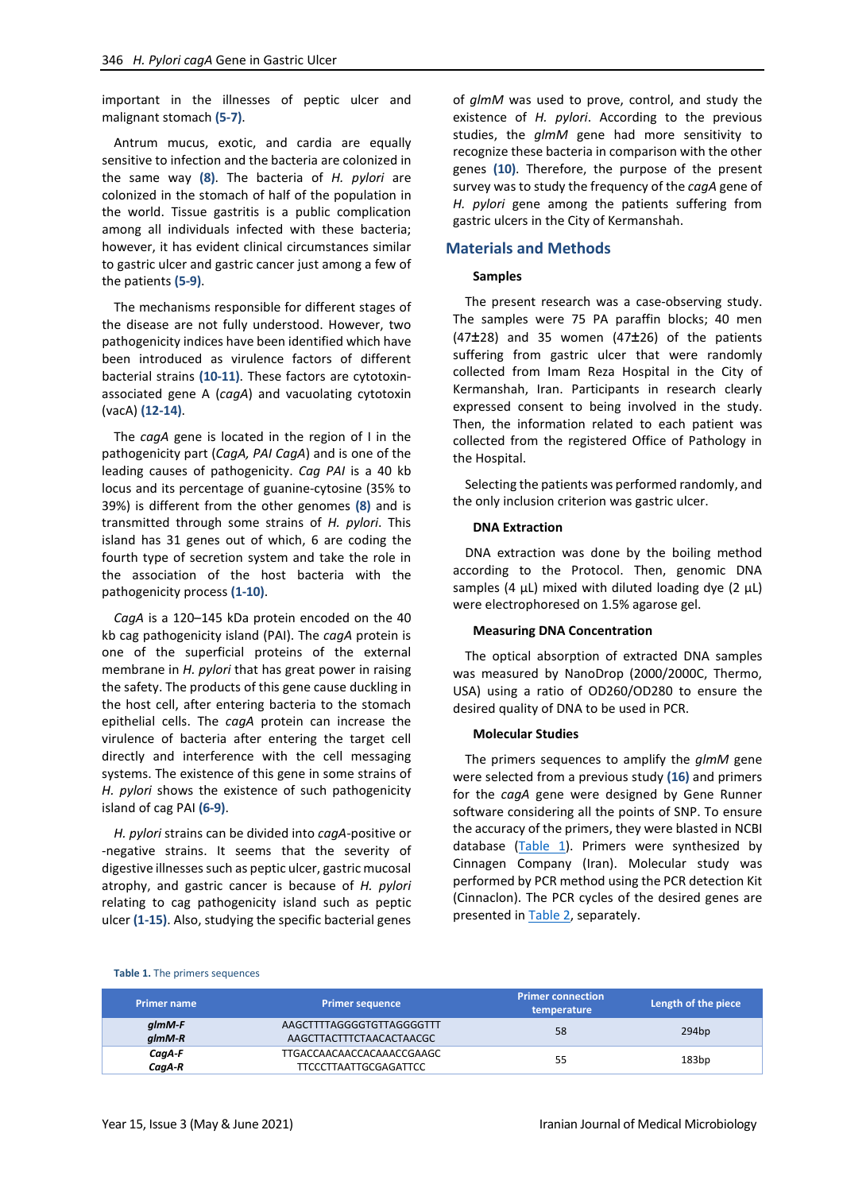important in the illnesses of peptic ulcer and malignant stomach **(5-7)**.

Antrum mucus, exotic, and cardia are equally sensitive to infection and the bacteria are colonized in the same way **(8)**. The bacteria of *H. pylori* are colonized in the stomach of half of the population in the world. Tissue gastritis is a public complication among all individuals infected with these bacteria; however, it has evident clinical circumstances similar to gastric ulcer and gastric cancer just among a few of the patients **(5-9)**.

The mechanisms responsible for different stages of the disease are not fully understood. However, two pathogenicity indices have been identified which have been introduced as virulence factors of different bacterial strains **(10-11)**. These factors are cytotoxinassociated gene A (*cagA*) and vacuolating cytotoxin (vacA) **(12-14)**.

The *cagA* gene is located in the region of I in the pathogenicity part (*CagA, PAI CagA*) and is one of the leading causes of pathogenicity. *Cag PAI* is a 40 kb locus and its percentage of guanine-cytosine (35% to 39%) is different from the other genomes **(8)** and is transmitted through some strains of *H. pylori*. This island has 31 genes out of which, 6 are coding the fourth type of secretion system and take the role in the association of the host bacteria with the pathogenicity process **(1-10)**.

*CagA* is a 120–145 kDa protein encoded on the 40 kb cag pathogenicity island (PAI). The *cagA* protein is one of the superficial proteins of the external membrane in *H. pylori* that has great power in raising the safety. The products of this gene cause duckling in the host cell, after entering bacteria to the stomach epithelial cells. The *cagA* protein can increase the virulence of bacteria after entering the target cell directly and interference with the cell messaging systems. The existence of this gene in some strains of *H. pylori* shows the existence of such pathogenicity island of cag PAI **(6-9)**.

*H. pylori* strains can be divided into *cagA*-positive or -negative strains. It seems that the severity of digestive illnesses such as peptic ulcer, gastric mucosal atrophy, and gastric cancer is because of *H. pylori* relating to cag pathogenicity island such as peptic ulcer **(1-15)**. Also, studying the specific bacterial genes

of *glmM* was used to prove, control, and study the existence of *H. pylori*. According to the previous studies, the *glmM* gene had more sensitivity to recognize these bacteria in comparison with the other genes **(10)**. Therefore, the purpose of the present survey was to study the frequency of the *cagA* gene of *H. pylori* gene among the patients suffering from gastric ulcers in the City of Kermanshah.

#### **Materials and Methods**

#### **Samples**

The present research was a case-observing study. The samples were 75 PA paraffin blocks; 40 men  $(47\pm28)$  and 35 women  $(47\pm26)$  of the patients suffering from gastric ulcer that were randomly collected from Imam Reza Hospital in the City of Kermanshah, Iran. Participants in research clearly expressed consent to being involved in the study. Then, the information related to each patient was collected from the registered Office of Pathology in the Hospital.

Selecting the patients was performed randomly, and the only inclusion criterion was gastric ulcer.

#### **DNA Extraction**

DNA extraction was done by the boiling method according to the Protocol. Then, genomic DNA samples (4  $\mu$ L) mixed with diluted loading dye (2  $\mu$ L) were electrophoresed on 1.5% agarose gel.

#### **Measuring DNA Concentration**

The optical absorption of extracted DNA samples was measured by NanoDrop (2000/2000C, Thermo, USA) using a ratio of OD260/OD280 to ensure the desired quality of DNA to be used in PCR.

#### **Molecular Studies**

The primers sequences to amplify the *glmM* gene were selected from a previous study **(16)** and primers for the *cagA* gene were designed by Gene Runner software considering all the points of SNP. To ensure the accuracy of the primers, they were blasted in NCBI database [\(Table 1\)](#page-1-0). Primers were synthesized by Cinnagen Company (Iran). Molecular study was performed by PCR method using the PCR detection Kit (Cinnaclon). The PCR cycles of the desired genes are presented i[n Table 2,](#page-2-0) separately.

#### <span id="page-1-0"></span>**Table 1.** The primers sequences

| <b>Primer name</b>      | <b>Primer sequence</b>                                    | <b>Primer connection</b><br>temperature | Length of the piece |
|-------------------------|-----------------------------------------------------------|-----------------------------------------|---------------------|
| glmM-F<br>$g/mM-R$      | AAGCTTTTAGGGGTGTTAGGGGTTT<br>AAGCTTACTTTCTAACACTAACGC     | 58                                      | 294bp               |
| $C$ ag $A$ -F<br>CagA-R | TTGACCAACAACCACAAACCGAAGC<br><b>TTCCCTTAATTGCGAGATTCC</b> | 55                                      | 183bp               |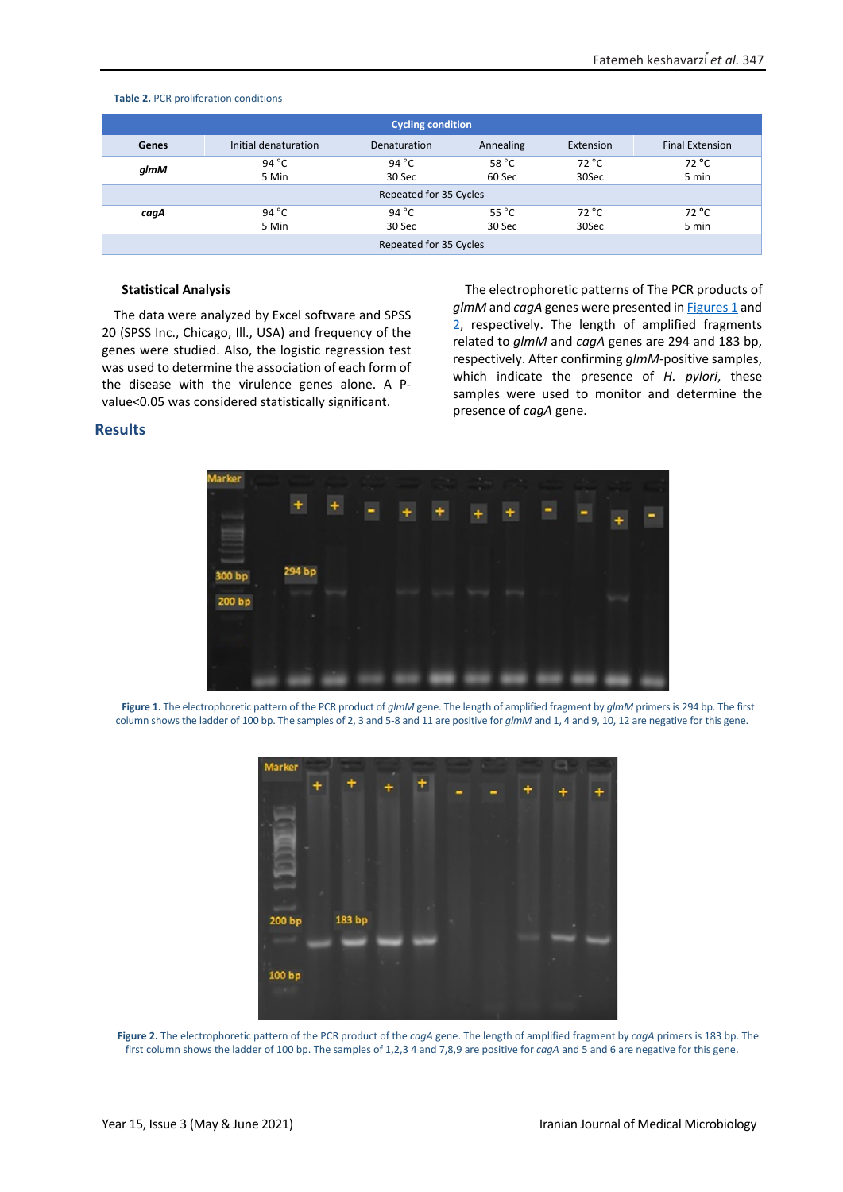| <b>Cycling condition</b> |                      |                     |                 |           |                        |  |
|--------------------------|----------------------|---------------------|-----------------|-----------|------------------------|--|
| <b>Genes</b>             | Initial denaturation | <b>Denaturation</b> | Annealing       | Extension | <b>Final Extension</b> |  |
| glmM                     | 94 $^{\circ}$ C      | 94 $^{\circ}$ C     | 58 $^{\circ}$ C | 72 °C     | 72 °C                  |  |
|                          | 5 Min                | 30 Sec              | 60 Sec          | 30Sec     | 5 min                  |  |
| Repeated for 35 Cycles   |                      |                     |                 |           |                        |  |
| cagA                     | 94 $^{\circ}$ C      | 94 $^{\circ}$ C     | 55 $^{\circ}$ C | 72 °C     | 72 °C                  |  |
|                          | 5 Min                | 30 Sec              | 30 Sec          | 30Sec     | 5 min                  |  |
| Repeated for 35 Cycles   |                      |                     |                 |           |                        |  |

#### <span id="page-2-0"></span>**Table 2.** PCR proliferation conditions

#### **Statistical Analysis**

The data were analyzed by Excel software and SPSS 20 (SPSS Inc., Chicago, Ill., USA) and frequency of the genes were studied. Also, the logistic regression test was used to determine the association of each form of the disease with the virulence genes alone. A Pvalue<0.05 was considered statistically significant.

The electrophoretic patterns of The PCR products of glmM and *cagA* genes were presented in **Figures 1** and [2,](#page-2-2) respectively. The length of amplified fragments related to *glmM* and *cagA* genes are 294 and 183 bp, respectively. After confirming *glmM-*positive samples, which indicate the presence of *H. pylori*, these samples were used to monitor and determine the presence of *cagA* gene.

# **Results**



<span id="page-2-1"></span>**Figure 1.** The electrophoretic pattern of the PCR product of *glmM* gene. The length of amplified fragment by *glmM* primers is 294 bp. The first column shows the ladder of 100 bp. The samples of 2, 3 and 5-8 and 11 are positive for *glmM* and 1, 4 and 9, 10, 12 are negative for this gene.



<span id="page-2-2"></span>**Figure 2.** The electrophoretic pattern of the PCR product of the *cagA* gene. The length of amplified fragment by *cagA* primers is 183 bp. The first column shows the ladder of 100 bp. The samples of 1,2,3 4 and 7,8,9 are positive for *cagA* and 5 and 6 are negative for this gene.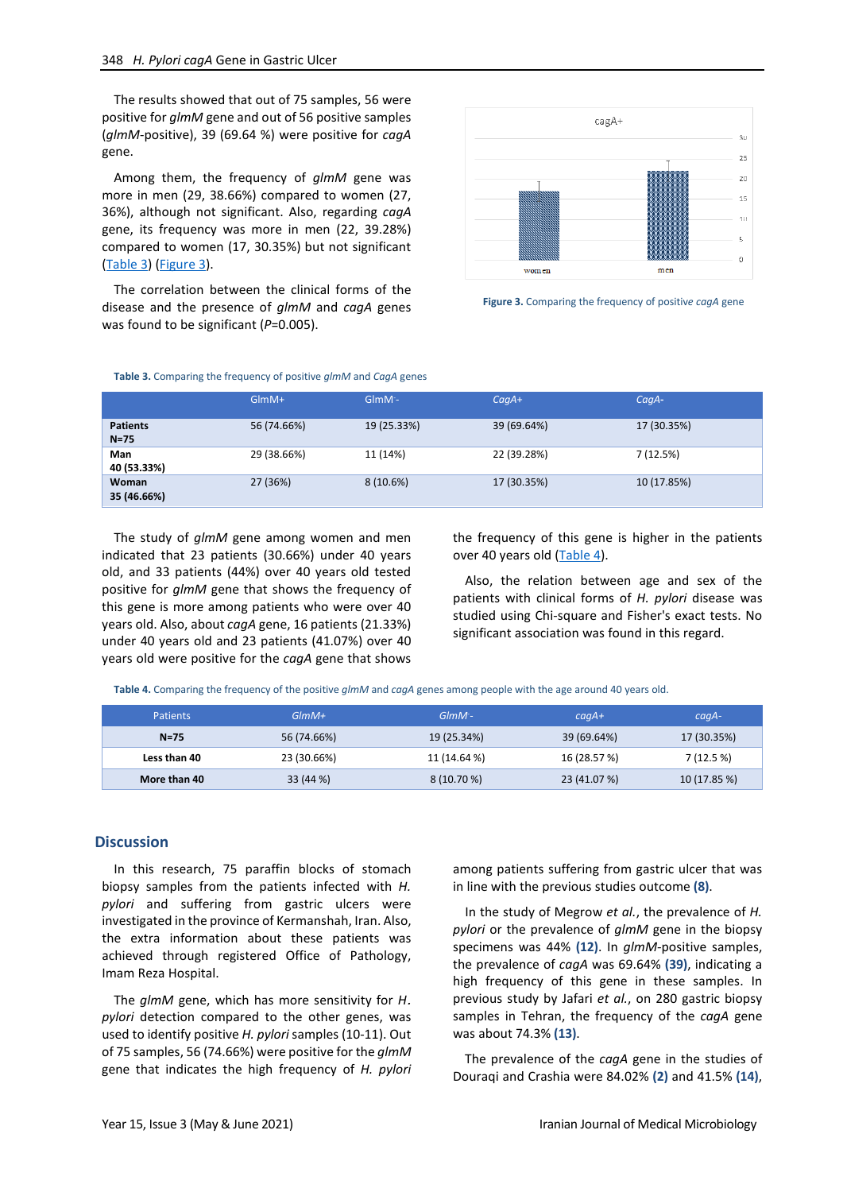The results showed that out of 75 samples, 56 were positive for *glmM* gene and out of 56 positive samples (*glmM*-positive), 39 (69.64 %) were positive for *cagA* gene.

Among them, the frequency of *glmM* gene was more in men (29, 38.66%) compared to women (27, 36%), although not significant. Also, regarding *cagA*  gene, its frequency was more in men (22, 39.28%) compared to women (17, 30.35%) but not significant [\(Table 3\)](#page-3-0) [\(Figure 3\)](#page-3-1).

The correlation between the clinical forms of the disease and the presence of *glmM* and *cagA* genes was found to be significant (*P*=0.005).



<span id="page-3-1"></span>

#### <span id="page-3-0"></span>**Table 3.** Comparing the frequency of positive *glmM* and *CagA* genes

|                             | $GlmM+$     | $G$ lm $M$ <sup>-</sup> | $CaqA+$     | C <sub>qA</sub> |
|-----------------------------|-------------|-------------------------|-------------|-----------------|
| <b>Patients</b><br>$N = 75$ | 56 (74.66%) | 19 (25.33%)             | 39 (69.64%) | 17 (30.35%)     |
| Man<br>40 (53.33%)          | 29 (38.66%) | 11 (14%)                | 22 (39.28%) | 7(12.5%)        |
| Woman<br>35 (46.66%)        | 27 (36%)    | 8(10.6%)                | 17 (30.35%) | 10 (17.85%)     |

The study of *glmM* gene among women and men indicated that 23 patients (30.66%) under 40 years old, and 33 patients (44%) over 40 years old tested positive for *glmM* gene that shows the frequency of this gene is more among patients who were over 40 years old. Also, about *cagA* gene, 16 patients (21.33%) under 40 years old and 23 patients (41.07%) over 40 years old were positive for the *cagA* gene that shows the frequency of this gene is higher in the patients over 40 years old [\(Table 4\)](#page-3-2).

Also, the relation between age and sex of the patients with clinical forms of *H. pylori* disease was studied using Chi-square and Fisher's exact tests. No significant association was found in this regard.

<span id="page-3-2"></span>**Table 4.** Comparing the frequency of the positive *glmM* and *cagA* genes among people with the age around 40 years old.

| Patients     | $G/mM+$     | $GIMM -$     | $caqA+$      | $caqA-$      |
|--------------|-------------|--------------|--------------|--------------|
| $N=75$       | 56 (74.66%) | 19 (25.34%)  | 39 (69.64%)  | 17 (30.35%)  |
| Less than 40 | 23 (30.66%) | 11 (14.64 %) | 16 (28.57 %) | 7(12.5%)     |
| More than 40 | 33 (44 %)   | 8 (10.70 %)  | 23 (41.07 %) | 10 (17.85 %) |

#### **Discussion**

In this research, 75 paraffin blocks of stomach biopsy samples from the patients infected with *H. pylori* and suffering from gastric ulcers were investigated in the province of Kermanshah, Iran. Also, the extra information about these patients was achieved through registered Office of Pathology, Imam Reza Hospital.

The *glmM* gene, which has more sensitivity for *H*. *pylori* detection compared to the other genes, was used to identify positive *H. pylori* samples (10-11). Out of 75 samples, 56 (74.66%) were positive for the *glmM* gene that indicates the high frequency of *H. pylori* among patients suffering from gastric ulcer that was in line with the previous studies outcome **(8)**.

In the study of Megrow *et al.*, the prevalence of *H. pylori* or the prevalence of *glmM* gene in the biopsy specimens was 44% **(12)**. In *glmM-*positive samples, the prevalence of *cagA* was 69.64% **(39)**, indicating a high frequency of this gene in these samples. In previous study by Jafari *et al.*, on 280 gastric biopsy samples in Tehran, the frequency of the *cagA* gene was about 74.3% **(13)**.

The prevalence of the *cagA* gene in the studies of Douraqi and Crashia were 84.02% **(2)** and 41.5% **(14)**,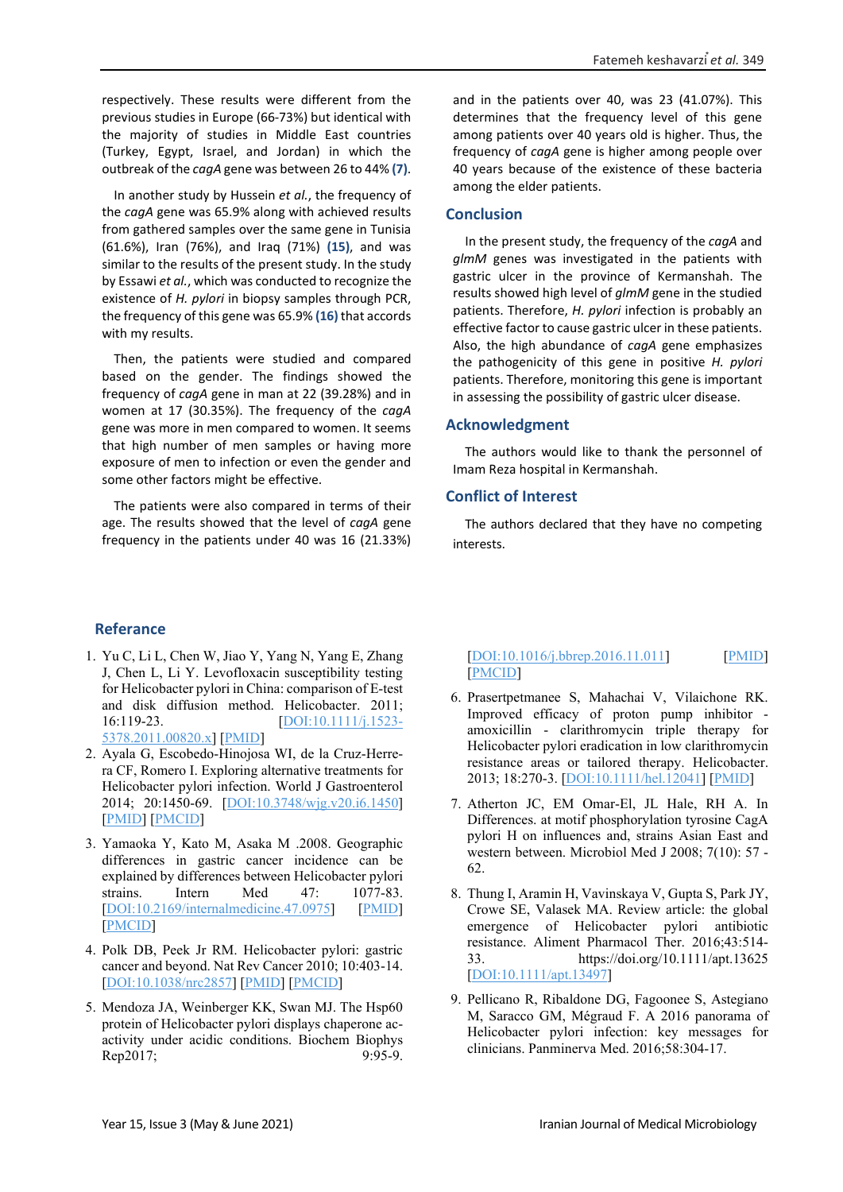respectively. These results were different from the previous studies in Europe (66-73%) but identical with the majority of studies in Middle East countries (Turkey, Egypt, Israel, and Jordan) in which the outbreak of the *cagA* gene was between 26 to 44% **(7)**.

In another study by Hussein *et al.*, the frequency of the *cagA* gene was 65.9% along with achieved results from gathered samples over the same gene in Tunisia (61.6%), Iran (76%), and Iraq (71%) **(15)**, and was similar to the results of the present study. In the study by Essawi *et al.*, which was conducted to recognize the existence of *H. pylori* in biopsy samples through PCR, the frequency of this gene was 65.9% **(16)** that accords with my results.

Then, the patients were studied and compared based on the gender. The findings showed the frequency of *cagA* gene in man at 22 (39.28%) and in women at 17 (30.35%). The frequency of the *cagA* gene was more in men compared to women. It seems that high number of men samples or having more exposure of men to infection or even the gender and some other factors might be effective.

The patients were also compared in terms of their age. The results showed that the level of *cagA* gene frequency in the patients under 40 was 16 (21.33%)

**Referance**

- 1. Yu C, Li L, Chen W, Jiao Y, Yang N, Yang E, Zhang J, Chen L, Li Y. Levofloxacin susceptibility testing for Helicobacter pylori in China: comparison of E-test and disk diffusion method. Helicobacter. 2011; 16:119-23. [\[DOI:10.1111/j.1523-](https://doi.org/10.1111/j.1523-5378.2011.00820.x) [5378.2011.00820.x\]](https://doi.org/10.1111/j.1523-5378.2011.00820.x) [\[PMID\]](https://www.ncbi.nlm.nih.gov/pubmed/21435089)
- 2. Ayala G, Escobedo-Hinojosa WI, de la Cruz-Herrera CF, Romero I. Exploring alternative treatments for Helicobacter pylori infection. World J Gastroenterol 2014; 20:1450-69. [\[DOI:10.3748/wjg.v20.i6.1450\]](https://doi.org/10.3748/wjg.v20.i6.1450) [\[PMID\]](https://www.ncbi.nlm.nih.gov/pubmed/24587621) [\[PMCID\]](http://www.ncbi.nlm.nih.gov/pmc/articles/PMC3925854)
- 3. Yamaoka Y, Kato M, Asaka M .2008. Geographic differences in gastric cancer incidence can be explained by differences between Helicobacter pylori strains. Intern Med 47: 1077-83. [\[DOI:10.2169/internalmedicine.47.0975\]](https://doi.org/10.2169/internalmedicine.47.0975) [\[PMID\]](https://www.ncbi.nlm.nih.gov/pubmed/18552463) [\[PMCID\]](http://www.ncbi.nlm.nih.gov/pmc/articles/PMC3732488)
- 4. Polk DB, Peek Jr RM. Helicobacter pylori: gastric cancer and beyond. Nat Rev Cancer 2010; 10:403-14. [\[DOI:10.1038/nrc2857\]](https://doi.org/10.1038/nrc2857) [\[PMID\]](https://www.ncbi.nlm.nih.gov/pubmed/20495574) [\[PMCID\]](http://www.ncbi.nlm.nih.gov/pmc/articles/PMC2957472)
- 5. Mendoza JA, Weinberger KK, Swan MJ. The Hsp60 protein of Helicobacter pylori displays chaperone acactivity under acidic conditions. Biochem Biophys Rep2017; 9:95-9.

and in the patients over 40, was 23 (41.07%). This determines that the frequency level of this gene among patients over 40 years old is higher. Thus, the frequency of *cagA* gene is higher among people over 40 years because of the existence of these bacteria among the elder patients.

# **Conclusion**

In the present study, the frequency of the *cagA* and *glmM* genes was investigated in the patients with gastric ulcer in the province of Kermanshah. The results showed high level of *glmM* gene in the studied patients. Therefore, *H. pylori* infection is probably an effective factor to cause gastric ulcer in these patients. Also, the high abundance of *cagA* gene emphasizes the pathogenicity of this gene in positive *H. pylori* patients. Therefore, monitoring this gene is important in assessing the possibility of gastric ulcer disease.

# **Acknowledgment**

The authors would like to thank the personnel of Imam Reza hospital in Kermanshah.

# **Conflict of Interest**

The authors declared that they have no competing interests.

# [\[DOI:10.1016/j.bbrep.2016.11.011\]](https://doi.org/10.1016/j.bbrep.2016.11.011) [\[PMID\]](https://www.ncbi.nlm.nih.gov/pubmed/28955994) [\[PMCID\]](http://www.ncbi.nlm.nih.gov/pmc/articles/PMC5614549)

- 6. Prasertpetmanee S, Mahachai V, Vilaichone RK. Improved efficacy of proton pump inhibitor amoxicillin - clarithromycin triple therapy for Helicobacter pylori eradication in low clarithromycin resistance areas or tailored therapy. Helicobacter. 2013; 18:270-3. [\[DOI:10.1111/hel.12041\]](https://doi.org/10.1111/hel.12041) [\[PMID\]](https://www.ncbi.nlm.nih.gov/pubmed/23356886)
- 7. Atherton JC, EM Omar-El, JL Hale, RH A. In Differences. at motif phosphorylation tyrosine CagA pylori H on influences and, strains Asian East and western between. Microbiol Med J 2008; 7(10): 57 - 62.
- 8. Thung I, Aramin H, Vavinskaya V, Gupta S, Park JY, Crowe SE, Valasek MA. Review article: the global emergence of Helicobacter pylori antibiotic resistance. Aliment Pharmacol Ther. 2016;43:514- 33. https://doi.org/10.1111/apt.13625 [\[DOI:10.1111/apt.13497\]](https://doi.org/10.1111/apt.13497)
- 9. Pellicano R, Ribaldone DG, Fagoonee S, Astegiano M, Saracco GM, Mégraud F. A 2016 panorama of Helicobacter pylori infection: key messages for clinicians. Panminerva Med. 2016;58:304-17.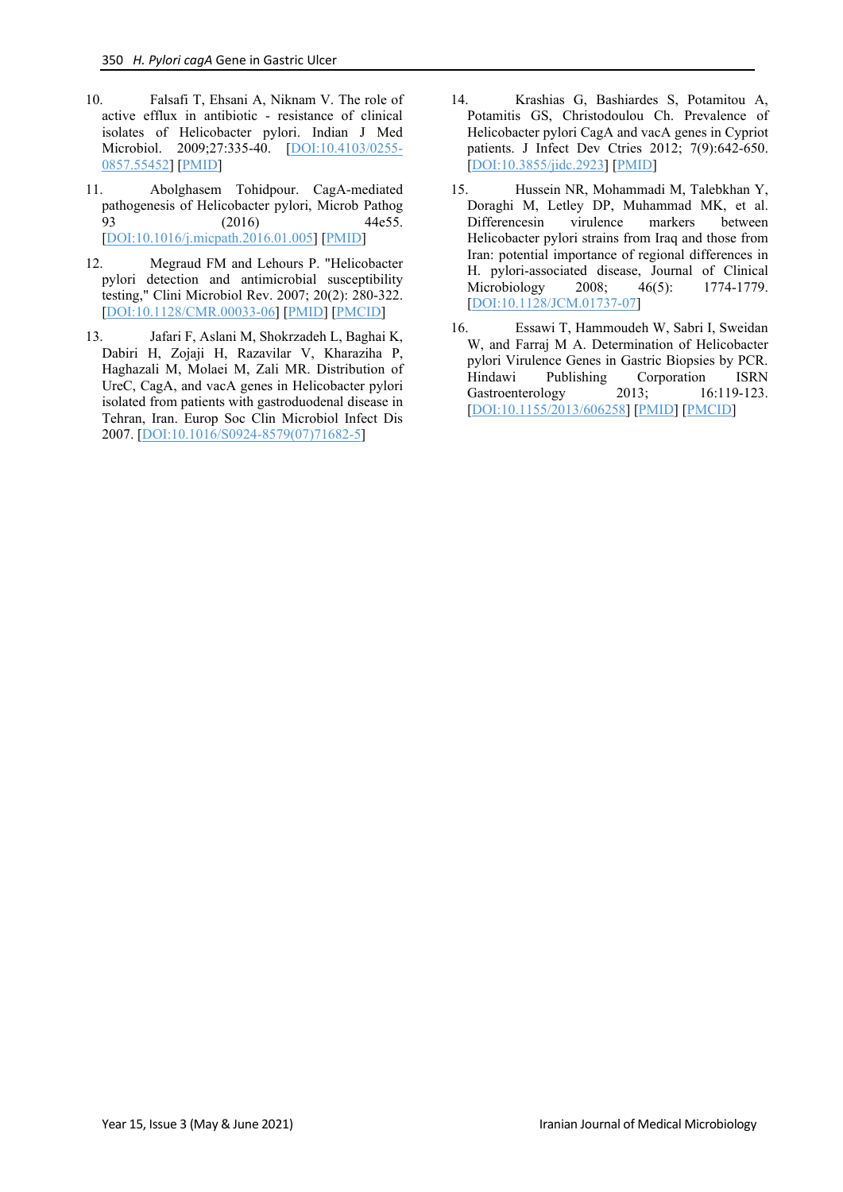- 10. Falsafi T, Ehsani A, Niknam V. The role of active efflux in antibiotic - resistance of clinical isolates of Helicobacter pylori. Indian J Med Microbiol. 2009;27:335-40. [\[DOI:10.4103/0255-](https://doi.org/10.4103/0255-0857.55452) [0857.55452\]](https://doi.org/10.4103/0255-0857.55452) [\[PMID\]](https://www.ncbi.nlm.nih.gov/pubmed/19736403)
- 11. Abolghasem Tohidpour. CagA-mediated pathogenesis of Helicobacter pylori, Microb Pathog 93 (2016) 44e55. [\[DOI:10.1016/j.micpath.2016.01.005\]](https://doi.org/10.1016/j.micpath.2016.01.005) [\[PMID\]](https://www.ncbi.nlm.nih.gov/pubmed/26796299)
- 12. Megraud FM and Lehours P. "Helicobacter pylori detection and antimicrobial susceptibility testing," Clini Microbiol Rev. 2007; 20(2): 280-322. [\[DOI:10.1128/CMR.00033-06\]](https://doi.org/10.1128/CMR.00033-06) [\[PMID\]](https://www.ncbi.nlm.nih.gov/pubmed/17428887) [\[PMCID\]](http://www.ncbi.nlm.nih.gov/pmc/articles/PMC1865594)
- 13. Jafari F, Aslani M, Shokrzadeh L, Baghai K, Dabiri H, Zojaji H, Razavilar V, Kharaziha P, Haghazali M, Molaei M, Zali MR. Distribution of UreC, CagA, and vacA genes in Helicobacter pylori isolated from patients with gastroduodenal disease in Tehran, Iran. Europ Soc Clin Microbiol Infect Dis 2007. [\[DOI:10.1016/S0924-8579\(07\)71682-5\]](https://doi.org/10.1016/S0924-8579(07)71682-5)
- 14. Krashias G, Bashiardes S, Potamitou A, Potamitis GS, Christodoulou Ch. Prevalence of Helicobacter pylori CagA and vacA genes in Cypriot patients. J Infect Dev Ctries 2012; 7(9):642-650. [\[DOI:10.3855/jidc.2923\]](https://doi.org/10.3855/jidc.2923) [\[PMID\]](https://www.ncbi.nlm.nih.gov/pubmed/24042099)
- 15. Hussein NR, Mohammadi M, Talebkhan Y, Doraghi M, Letley DP, Muhammad MK, et al. Differencesin virulence markers between Helicobacter pylori strains from Iraq and those from Iran: potential importance of regional differences in H. pylori-associated disease, Journal of Clinical<br>Microbiology 2008; 46(5): 1774-1779. Microbiology [\[DOI:10.1128/JCM.01737-07\]](https://doi.org/10.1128/JCM.01737-07)
- 16. Essawi T, Hammoudeh W, Sabri I, Sweidan W, and Farraj M A. Determination of Helicobacter pylori Virulence Genes in Gastric Biopsies by PCR. Hindawi Publishing Corporation ISRN<br>Gastroenterology 2013; 16:119-123. Gastroenterology [\[DOI:10.1155/2013/606258\]](https://doi.org/10.1155/2013/606258) [\[PMID\]](https://www.ncbi.nlm.nih.gov/pubmed/23691338) [\[PMCID\]](http://www.ncbi.nlm.nih.gov/pmc/articles/PMC3649278)